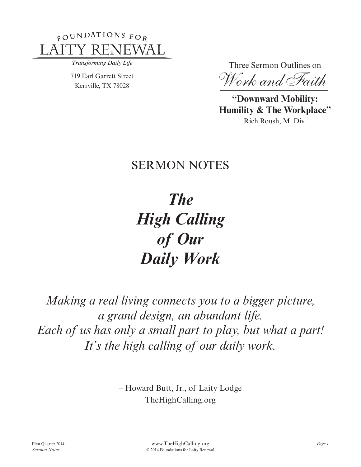

Transforming Daily Life

719 Earl Garrett Street Kerrville, TX 78028

Three Sermon Outlines on

 *Work and Faith*

**"Downward Mobility: Humility & The Workplace"** Rich Roush, M. Div.

# SERMON NOTES

*The High Calling of Our Daily Work*

*Making a real living connects you to a bigger picture, a grand design, an abundant life. Each of us has only a small part to play, but what a part! It's the high calling of our daily work.*

> – Howard Butt, Jr., of Laity Lodge TheHighCalling.org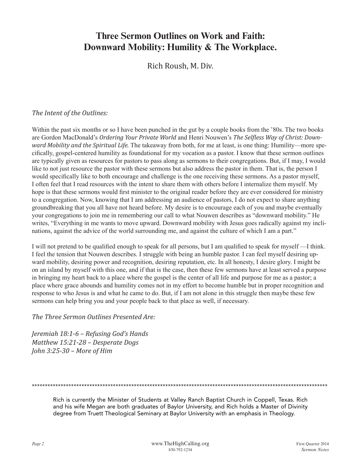## **Three Sermon Outlines on Work and Faith: Downward Mobility: Humility & The Workplace.**

Rich Roush, M. Div.

#### *The Intent of the Outlines:*

Within the past six months or so I have been punched in the gut by a couple books from the '80s. The two books are Gordon MacDonald's *Ordering Your Private World* and Henri Nouwen's *The Selfless Way of Christ: Downward Mobility and the Spiritual Life.* The takeaway from both, for me at least, is one thing: Humility—more specifically, gospel-centered humility as foundational for my vocation as a pastor. I know that these sermon outlines are typically given as resources for pastors to pass along as sermons to their congregations. But, if I may, I would like to not just resource the pastor with these sermons but also address the pastor in them. That is, the person I would specifically like to both encourage and challenge is the one receiving these sermons. As a pastor myself, I often feel that I read resources with the intent to share them with others before I internalize them myself. My hope is that these sermons would first minister to the original reader before they are ever considered for ministry to a congregation. Now, knowing that I am addressing an audience of pastors, I do not expect to share anything groundbreaking that you all have not heard before. My desire is to encourage each of you and maybe eventually your congregations to join me in remembering our call to what Nouwen describes as "downward mobility." He writes, "Everything in me wants to move upward. Downward mobility with Jesus goes radically against my inclinations, against the advice of the world surrounding me, and against the culture of which I am a part."

I will not pretend to be qualified enough to speak for all persons, but I am qualified to speak for myself —I think. I feel the tension that Nouwen describes. I struggle with being an humble pastor. I can feel myself desiring upward mobility, desiring power and recognition, desiring reputation, etc. In all honesty, I desire glory. I might be on an island by myself with this one, and if that is the case, then these few sermons have at least served a purpose in bringing my heart back to a place where the gospel is the center of all life and purpose for me as a pastor; a place where grace abounds and humility comes not in my effort to become humble but in proper recognition and response to who Jesus is and what he came to do. But, if I am not alone in this struggle then maybe these few sermons can help bring you and your people back to that place as well, if necessary.

*The Three Sermon Outlines Presented Are:*

*Jeremiah 18:1-6 – Refusing God's Hands Matthew 15:21-28 – Desperate Dogs John 3:25-30 – More of Him* 

\*\*\*\*\*\*\*\*\*\*\*\*\*\*\*\*\*\*\*\*\*\*\*\*\*\*\*\*\*\*\*\*\*\*\*\*\*\*\*\*\*\*\*\*\*\*\*\*\*\*\*\*\*\*\*\*\*\*\*\*\*\*\*\*\*\*\*\*\*\*\*\*\*\*\*\*\*\*\*\*\*\*\*\*\*\*\*\*\*\*\*\*\*\*\*\*\*\*\*\*\*\*\*\*\*\*\*\*\*\*\*\*\*

Rich is currently the Minister of Students at Valley Ranch Baptist Church in Coppell, Texas. Rich and his wife Megan are both graduates of Baylor University, and Rich holds a Master of Divinity degree from Truett Theological Seminary at Baylor University with an emphasis in Theology.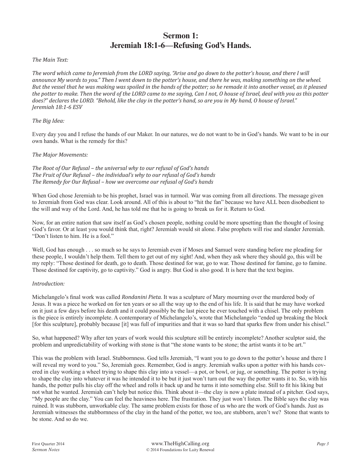## **Sermon 1: Jeremiah 18:1-6—Refusing God's Hands.**

#### *The Main Text:*

*The word which came to Jeremiah from the LORD saying, "Arise and go down to the potter's house, and there I will announce My words to you." Then I went down to the potter's house, and there he was, making something on the wheel. But the vessel that he was making was spoiled in the hands of the potter; so he remade it into another vessel, as it pleased the potter to make. Then the word of the LORD came to me saying, Can I not, O house of Israel, deal with you as this potter does?" declares the LORD. "Behold, like the clay in the potter's hand, so are you in My hand, O house of Israel." Jeremiah 18:1-6 ESV*

#### *The Big Idea:*

Every day you and I refuse the hands of our Maker. In our natures, we do not want to be in God's hands. We want to be in our own hands. What is the remedy for this?

#### *The Major Movements:*

*The Root of Our Refusal – the universal why to our refusal of God's hands The Fruit of Our Refusal – the individual's why to our refusal of God's hands The Remedy for Our Refusal – how we overcome our refusal of God's hands*

When God chose Jeremiah to be his prophet, Israel was in turmoil. War was coming from all directions. The message given to Jeremiah from God was clear. Look around. All of this is about to "hit the fan" because we have ALL been disobedient to the will and way of the Lord. And, he has told me that he is going to break us for it. Return to God.

Now, for an entire nation that saw itself as God's chosen people, nothing could be more upsetting than the thought of losing God's favor. Or at least you would think that, right? Jeremiah would sit alone. False prophets will rise and slander Jeremiah. "Don't listen to him. He is a fool."

Well, God has enough . . . so much so he says to Jeremiah even if Moses and Samuel were standing before me pleading for these people, I wouldn't help them. Tell them to get out of my sight! And, when they ask where they should go, this will be my reply: "Those destined for death, go to death. Those destined for war, go to war. Those destined for famine, go to famine. Those destined for captivity, go to captivity." God is angry. But God is also good. It is here that the text begins.

#### *Introduction:*

Michelangelo's final work was called *Rondanini Pieta.* It was a sculpture of Mary mourning over the murdered body of Jesus. It was a piece he worked on for ten years or so all the way up to the end of his life. It is said that he may have worked on it just a few days before his death and it could possibly be the last piece he ever touched with a chisel. The only problem is the piece is entirely incomplete. A contemporary of Michelangelo's, wrote that Michelangelo "ended up breaking the block [for this sculpture], probably because [it] was full of impurities and that it was so hard that sparks flew from under his chisel."

So, what happened? Why after ten years of work would this sculpture still be entirely incomplete? Another sculptor said, the problem and unpredictability of working with stone is that "the stone wants to be stone; the artist wants it to be art."

This was the problem with Israel. Stubbornness. God tells Jeremiah, "I want you to go down to the potter's house and there I will reveal my word to you." So, Jeremiah goes. Remember, God is angry. Jeremiah walks upon a potter with his hands covered in clay working a wheel trying to shape this clay into a vessel—a pot, or bowl, or jug, or something. The potter is trying to shape the clay into whatever it was he intended it to be but it just won't turn out the way the potter wants it to. So, with his hands, the potter pulls his clay off the wheel and rolls it back up and he turns it into something else. Still to fit his liking but not what he wanted. Jeremiah can't help but notice this. Think about it—the clay is now a plate instead of a pitcher. God says, "My people are the clay." You can feel the heaviness here. The frustration. They just won't listen. The Bible says the clay was ruined. It was stubborn, unworkable clay. The same problem exists for those of us who are the work of God's hands. Just as Jeremiah witnesses the stubbornness of the clay in the hand of the potter, we too, are stubborn, aren't we? Stone that wants to be stone. And so do we.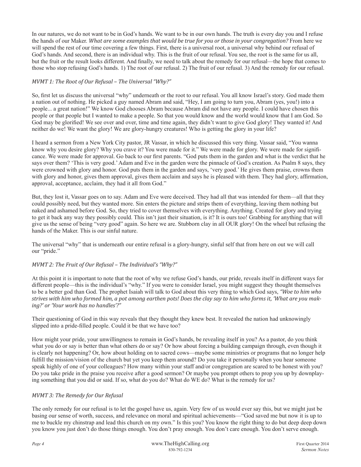In our natures, we do not want to be in God's hands. We want to be in our own hands. The truth is every day you and I refuse the hands of our Maker. *What are some examples that would be true for you or those in your congregation?* From here we will spend the rest of our time covering a few things. First, there is a universal root, a universal why behind our refusal of God's hands. And second, there is an individual why. This is the fruit of our refusal. You see, the root is the same for us all, but the fruit or the result looks different. And finally, we need to talk about the remedy for our refusal—the hope that comes to those who stop refusing God's hands. 1) The root of our refusal. 2) The fruit of our refusal. 3) And the remedy for our refusal.

#### *MVMT 1: The Root of Our Refusal – The Universal "Why?"*

So, first let us discuss the universal "why" underneath or the root to our refusal. You all know Israel's story. God made them a nation out of nothing. He picked a guy named Abram and said, "Hey, I am going to turn you, Abram (yes, you!) into a people... a great nation!" We know God chooses Abram because Abram did not have any people. I could have chosen this people or that people but I wanted to make a people. So that you would know and the world would know that I am God. So God may be glorified! We see over and over, time and time again, they didn't want to give God glory! They wanted it! And neither do we! We want the glory! We are glory-hungry creatures! Who is getting the glory in your life?

I heard a sermon from a New York City pastor, JR Vassar, in which he discussed this very thing. Vassar said, "You wanna know why you desire glory? Why you crave it? You were made for it." We were made for glory. We were made for significance. We were made for approval. Go back to our first parents. "God puts them in the garden and what is the verdict that he says over them? 'This is very good.' Adam and Eve in the garden were the pinnacle of God's creation. As Psalm 8 says, they were crowned with glory and honor. God puts them in the garden and says, 'very good.' He gives them praise, crowns them with glory and honor, gives them approval, gives them acclaim and says he is pleased with them. They had glory, affirmation, approval, acceptance, acclaim, they had it all from God."

But, they lost it, Vassar goes on to say. Adam and Eve were deceived. They had all that was intended for them—all that they could possibly need, but they wanted more. Sin enters the picture and strips them of everything, leaving them nothing but naked and ashamed before God. So, they tried to cover themselves with everything. Anything. Created for glory and trying to get it back any way they possibly could. This isn't just their situation, is it? It is ours too! Grabbing for anything that will give us the sense of being "very good" again. So here we are. Stubborn clay in all OUR glory! On the wheel but refusing the hands of the Maker. This is our sinful nature.

The universal "why" that is underneath our entire refusal is a glory-hungry, sinful self that from here on out we will call our "pride."

#### *MVMT 2: The Fruit of Our Refusal – The Individual's "Why?"*

At this point it is important to note that the root of why we refuse God's hands, our pride, reveals itself in different ways for different people—this is the individual's "why." If you were to consider Israel, you might suggest they thought themselves to be a better god than God. The prophet Isaiah will talk to God about this very thing to which God says, *"Woe to him who strives with him who formed him, a pot among earthen pots! Does the clay say to him who forms it, 'What are you making?' or 'Your work has no handles'?"*

Their questioning of God in this way reveals that they thought they knew best. It revealed the nation had unknowingly slipped into a pride-filled people. Could it be that we have too?

How might your pride, your unwillingness to remain in God's hands, be revealing itself in you? As a pastor, do you think what you do or say is better than what others do or say? Or how about forcing a building campaign through, even though it is clearly not happening? Or, how about holding on to sacred cows—maybe some ministries or programs that no longer help fulfill the mission/vision of the church but yet you keep them around? Do you take it personally when you hear someone speak highly of one of your colleagues? How many within your staff and/or congregation are scared to be honest with you? Do you take pride in the praise you receive after a good sermon? Or maybe you prompt others to prop you up by downplaying something that you did or said. If so, what do you do? What do WE do? What is the remedy for us?

#### *MVMT 3: The Remedy for Our Refusal*

The only remedy for our refusal is to let the gospel have us, again. Very few of us would ever say this, but we might just be basing our sense of worth, success, and relevance on moral and spiritual achievements—"God saved me but now it is up to me to buckle my chinstrap and lead this church on my own." Is this you? You know the right thing to do but deep deep down you know you just don't do those things enough. You don't pray enough. You don't care enough. You don't serve enough.